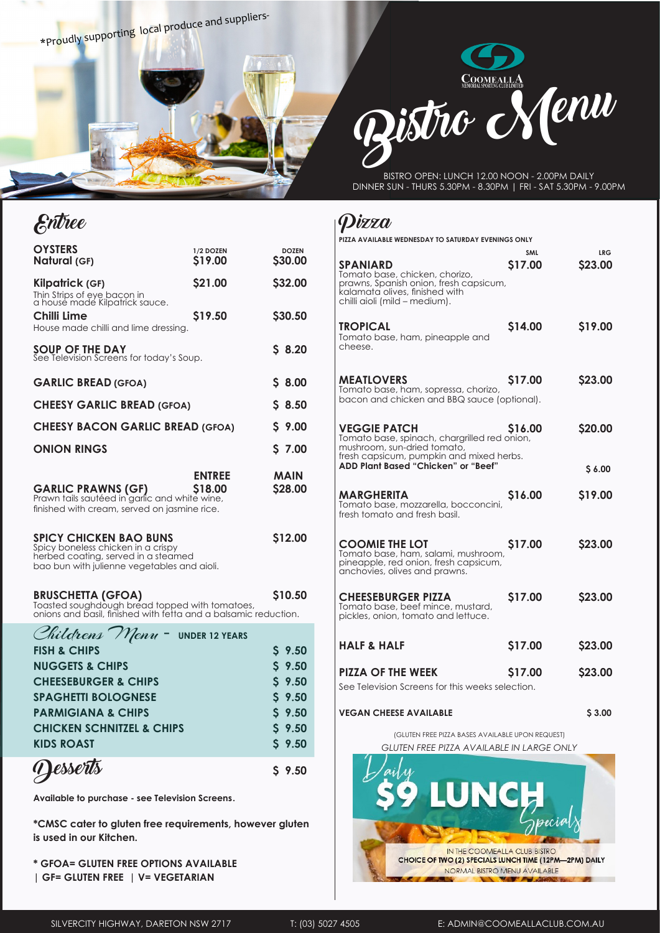\*Proudly supporting local produce and suppliers-

Entree



BISTRO OPEN: LUNCH 12.00 NOON - 2.00PM DAILY DINNER SUN - THURS 5.30PM - 8.30PM | FRI - SAT 5.30PM - 9.00PM

## Pizza

|                                                                                                                                                           |                       |                         | PIZZA AVAILABLE WEDNESDAY TO SATURDAY EVENINGS ONLY                                                                                                                                              |                       |                       |
|-----------------------------------------------------------------------------------------------------------------------------------------------------------|-----------------------|-------------------------|--------------------------------------------------------------------------------------------------------------------------------------------------------------------------------------------------|-----------------------|-----------------------|
| <b>OYSTERS</b><br>Natural (GF)                                                                                                                            | 1/2 DOZEN<br>\$19.00  | <b>DOZEN</b><br>\$30.00 | <b>SPANIARD</b>                                                                                                                                                                                  | <b>SML</b><br>\$17.00 | <b>LRG</b><br>\$23.00 |
| Kilpatrick (GF)<br>Thin Strips of eye bacon in<br>a house made Kilpatrick sauce.                                                                          | \$21.00               | \$32.00                 | Tomato base, chicken, chorizo,<br>prawns, Spanish onion, fresh capsicum,<br>kalamata olives, finished with<br>chilli aioli (mild – medium).                                                      |                       |                       |
| Chilli Lime<br>House made chilli and lime dressing.                                                                                                       | \$19.50               | \$30.50                 | <b>TROPICAL</b><br>Tomato base, ham, pineapple and                                                                                                                                               | \$14.00               | \$19.00               |
| <b>SOUP OF THE DAY</b><br>See Television Screens for today's Soup.                                                                                        |                       | \$8.20                  | cheese.                                                                                                                                                                                          |                       |                       |
| <b>GARLIC BREAD (GFOA)</b>                                                                                                                                |                       | \$8.00                  | <b>MEATLOVERS</b><br>Tomato base, ham, sopressa, chorizo,                                                                                                                                        | \$17.00               | \$23.00               |
| <b>CHEESY GARLIC BREAD (GFOA)</b>                                                                                                                         |                       | \$8.50                  | bacon and chicken and BBQ sauce (optional).                                                                                                                                                      |                       |                       |
| <b>CHEESY BACON GARLIC BREAD (GFOA)</b>                                                                                                                   |                       | \$9.00                  | <b>VEGGIE PATCH</b><br>\$16.00<br>Tomato base, spinach, chargrilled red onion,<br>mushroom, sun-dried tomato,<br>fresh capsicum, pumpkin and mixed herbs.<br>ADD Plant Based "Chicken" or "Beef" |                       | \$20.00               |
| <b>ONION RINGS</b>                                                                                                                                        |                       | \$7.00                  |                                                                                                                                                                                                  |                       |                       |
|                                                                                                                                                           | <b>ENTREE</b>         | <b>MAIN</b>             |                                                                                                                                                                                                  |                       | \$6.00                |
| <b>GARLIC PRAWNS (GF)</b><br>Prawn tails sautéed in garlic and white wine,<br>finished with cream, served on jasmine rice.                                | \$18.00               | \$28.00                 | <b>MARGHERITA</b><br>Tomato base, mozzarella, bocconcini,<br>fresh tomato and fresh basil.                                                                                                       | S <sub>16.00</sub>    | \$19.00               |
| <b>SPICY CHICKEN BAO BUNS</b><br>Spicy boneless chicken in a crispy<br>herbed coating, served in a steamed<br>bao bun with julienne vegetables and aioli. |                       | \$12.00                 | <b>COOMIE THE LOT</b><br>Tomato base, ham, salami, mushroom,<br>pineapple, red onion, fresh capsicum,<br>anchovies, olives and prawns.                                                           | \$17.00               | \$23.00               |
| <b>BRUSCHETTA (GFOA)</b><br>Toasted soughdough bread topped with tomatoes,<br>onions and basil, finished with fetta and a balsamic reduction.             |                       | \$10.50                 | <b>CHEESEBURGER PIZZA</b><br>Tomato base, beef mince, mustard,<br>pickles, onion, tomato and lettuce.                                                                                            | \$17.00               | \$23.00               |
| Childrens Menu-                                                                                                                                           | <b>UNDER 12 YEARS</b> |                         |                                                                                                                                                                                                  |                       |                       |
| <b>FISH &amp; CHIPS</b>                                                                                                                                   |                       | \$9.50                  | <b>HALF &amp; HALF</b>                                                                                                                                                                           | \$17.00               | \$23.00               |
| <b>NUGGETS &amp; CHIPS</b>                                                                                                                                |                       | $S$ 9.50                | <b>PIZZA OF THE WEEK</b>                                                                                                                                                                         | \$17.00               | \$23.00               |
| <b>CHEESEBURGER &amp; CHIPS</b>                                                                                                                           |                       | $S$ 9.50                | See Television Screens for this weeks selection.                                                                                                                                                 |                       |                       |
| <b>SPAGHETTI BOLOGNESE</b>                                                                                                                                |                       | $S$ 9.50                |                                                                                                                                                                                                  |                       |                       |
| <b>PARMIGIANA &amp; CHIPS</b>                                                                                                                             |                       | \$9.50                  | <b>VEGAN CHEESE AVAILABLE</b>                                                                                                                                                                    |                       | \$3.00                |

| $C_{\text{MLU}}$ $C_{\text{NL}}$ $D_{\text{NL}}$ $D_{\text{NL}}$ $D_{\text{NL}}$ $D_{\text{NL}}$ $D_{\text{NL}}$ $D_{\text{NL}}$ $D_{\text{NL}}$ $D_{\text{NL}}$ $D_{\text{NL}}$ $D_{\text{NL}}$ $D_{\text{NL}}$ $D_{\text{NL}}$ $D_{\text{NL}}$ $D_{\text{NL}}$ $D_{\text{NL}}$ $D_{\text{NL}}$ $D_{\text{NL}}$ $D_{\text{NL}}$ $D_{\text{NL}}$ $D_{\text{NL}}$ |          |
|------------------------------------------------------------------------------------------------------------------------------------------------------------------------------------------------------------------------------------------------------------------------------------------------------------------------------------------------------------------|----------|
| <b>FISH &amp; CHIPS</b>                                                                                                                                                                                                                                                                                                                                          | \$9.50   |
| <b>NUGGETS &amp; CHIPS</b>                                                                                                                                                                                                                                                                                                                                       | \$9.50   |
| <b>CHEESEBURGER &amp; CHIPS</b>                                                                                                                                                                                                                                                                                                                                  | \$9.50   |
| <b>SPAGHETTI BOLOGNESE</b>                                                                                                                                                                                                                                                                                                                                       | \$9.50   |
| <b>PARMIGIANA &amp; CHIPS</b>                                                                                                                                                                                                                                                                                                                                    | \$9.50   |
| <b>CHICKEN SCHNITZEL &amp; CHIPS</b>                                                                                                                                                                                                                                                                                                                             | $S$ 9.50 |
| <b>KIDS ROAST</b>                                                                                                                                                                                                                                                                                                                                                | \$9.50   |
| (Jesserts                                                                                                                                                                                                                                                                                                                                                        | \$9.50   |

**Available to purchase - see Television Screens.**

**\*CMSC cater to gluten free requirements, however gluten is used in our Kitchen.**

**\* GFOA= GLUTEN FREE OPTIONS AVAILABLE | GF= GLUTEN FREE | V= VEGETARIAN**

(GLUTEN FREE PIZZA BASES AVAILABLE UPON REQUEST)